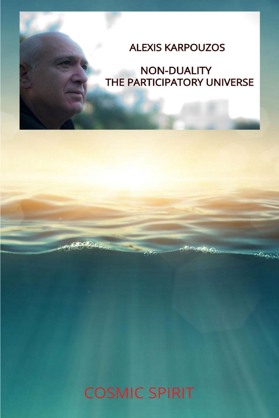## **ALEXIS KARPOUZOS**

**NON-DUALITY** THE PARTICIPATORY UNIVERSE

# **COSMIC SPIRIT**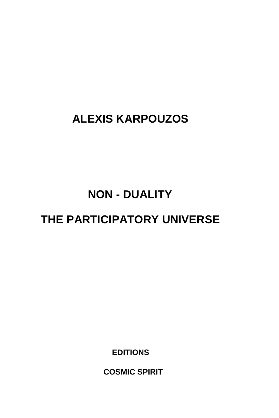## **ALEXIS KARPOUZOS**

## **NON - DUALITY**

## **THE PARTICIPATORY UNIVERSE**

**EDITIONS**

**COSMIC SPIRIT**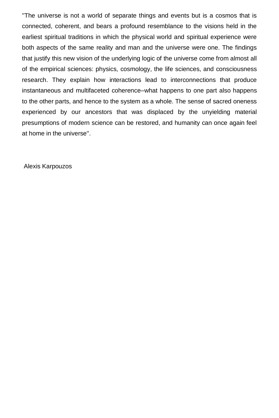''The universe is not a world of separate things and events but is a cosmos that is connected, coherent, and bears a profound resemblance to the visions held in the earliest spiritual traditions in which the physical world and spiritual experience were both aspects of the same reality and man and the universe were one. The findings that justify this new vision of the underlying logic of the universe come from almost all of the empirical sciences: physics, cosmology, the life sciences, and consciousness research. They explain how interactions lead to interconnections that produce instantaneous and multifaceted coherence–what happens to one part also happens to the other parts, and hence to the system as a whole. The sense of sacred oneness experienced by our ancestors that was displaced by the unyielding material presumptions of modern science can be restored, and humanity can once again feel at home in the universe''.

Alexis Karpouzos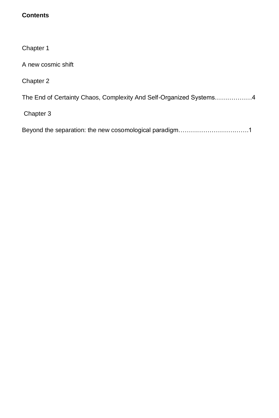### **Contents**

Chapter 1

A new cosmic shift

Chapter 2

The End of Certainty Chaos, Complexity And Self-Organized Systems………………4

Chapter 3

Beyond the separation: the new cosomological paradigm…………………………….1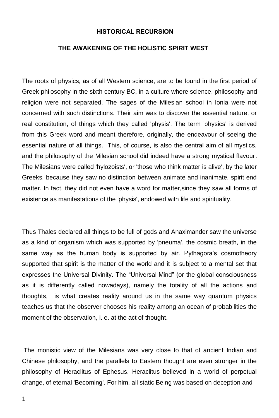#### **HISTORICAL RECURSIOΝ**

#### **THE AWAKENING OF THE HOLISTIC SPIRIT WEST**

The roots of physics, as of all Western science, are to be found in the first period of Greek philosophy in the sixth century BC, in a culture where science, philosophy and religion were not separated. The sages of the Milesian school in Ionia were not concerned with such distinctions. Their aim was to discover the essential nature, or real constitution, of things which they called 'physis'. The term 'physics' is derived from this Greek word and meant therefore, originally, the endeavour of seeing the essential nature of all things. This, of course, is also the central aim of all mystics, and the philosophy of the Milesian school did indeed have a strong mystical flavour. The Milesians were called 'hylozoists', or 'those who think matter is alive', by the later Greeks, because they saw no distinction between animate and inanimate, spirit end matter. In fact, they did not even have a word for matter,since they saw all forms of existence as manifestations of the 'physis', endowed with life and spirituality.

Thus Thales declared all things to be full of gods and Anaximander saw the universe as a kind of organism which was supported by 'pneuma', the cosmic breath, in the same way as the human body is supported by air. Pythagora's cosmotheory supported that spirit is the matter of the world and it is subject to a mental set that expresses the Universal Divinity. The "Universal Mind" (or the global consciousness as it is differently called nowadays), namely the totality of all the actions and thoughts, is what creates reality around us in the same way quantum physics teaches us that the observer chooses his reality among an ocean of probabilities the moment of the observation, i. e. at the act of thought.

The monistic view of the Milesians was very close to that of ancient Indian and Chinese philosophy, and the parallels to Eastern thought are even stronger in the philosophy of Heraclitus of Ephesus. Heraclitus believed in a world of perpetual change, of eternal 'Becoming'. For him, all static Being was based on deception and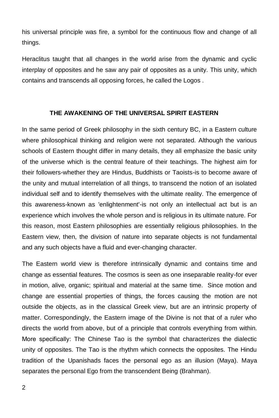his universal principle was fire, a symbol for the continuous flow and change of all things.

Heraclitus taught that all changes in the world arise from the dynamic and cyclic interplay of opposites and he saw any pair of opposites as a unity. This unity, which contains and transcends all opposing forces, he called the Logos .

#### **THE AWAKENING OF THE UNIVERSAL SPIRIT EASTERN**

In the same period of Greek philosophy in the sixth century BC, in a Eastern culture where philosophical thinking and religion were not separated. Although the various schools of Eastern thought differ in many details, they all emphasize the basic unity of the universe which is the central feature of their teachings. The highest aim for their followers-whether they are Hindus, Buddhists or Taoists-is to become aware of the unity and mutual interrelation of all things, to transcend the notion of an isolated individual self and to identify themselves with the ultimate reality. The emergence of this awareness-known as 'enlightenment'-is not only an intellectual act but is an experience which involves the whole person and is religious in its ultimate nature. For this reason, most Eastern philosophies are essentially religious philosophies. In the Eastern view, then, the division of nature into separate objects is not fundamental and any such objects have a fluid and ever-changing character.

The Eastern world view is therefore intrinsically dynamic and contains time and change as essential features. The cosmos is seen as one inseparable reality-for ever in motion, alive, organic; spiritual and material at the same time. Since motion and change are essential properties of things, the forces causing the motion are not outside the objects, as in the classical Greek view, but are an intrinsic property of matter. Correspondingly, the Eastern image of the Divine is not that of a ruler who directs the world from above, but of a principle that controls everything from within. Μore specifically: The Chinese Tao is the symbol that characterizes the dialectic unity of opposites. The Tao is the rhythm which connects the opposites. The Hindu tradition of the Upanishads faces the personal ego as an illusion (Maya). Maya separates the personal Ego from the transcendent Being (Brahman).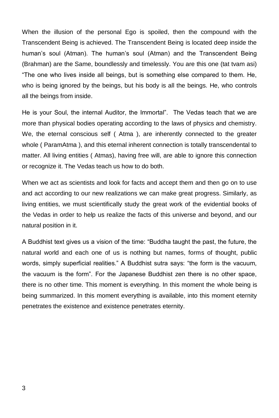When the illusion of the personal Ego is spoiled, then the compound with the Transcendent Being is achieved. The Transcendent Being is located deep inside the human's soul (Αtman). The human's soul (Αtman) and the Transcendent Being (Brahman) are the Same, boundlessly and timelessly. You are this one (tat tvam asi) "The one who lives inside all beings, but is something else compared to them. He, who is being ignored by the beings, but his body is all the beings. He, who controls all the beings from inside.

He is your Soul, the internal Auditor, the Immortal". The Vedas teach that we are more than physical bodies operating according to the laws of physics and chemistry. We, the eternal conscious self ( Atma ), are inherently connected to the greater whole ( ParamAtma ), and this eternal inherent connection is totally transcendental to matter. All living entities ( Atmas), having free will, are able to ignore this connection or recognize it. The Vedas teach us how to do both.

When we act as scientists and look for facts and accept them and then go on to use and act according to our new realizations we can make great progress. Similarly, as living entities, we must scientifically study the great work of the evidential books of the Vedas in order to help us realize the facts of this universe and beyond, and our natural position in it.

A Buddhist text gives us a vision of the time: "Buddha taught the past, the future, the natural world and each one of us is nothing but names, forms of thought, public words, simply superficial realities." A Buddhist sutra says: "the form is the vacuum, the vacuum is the form". For the Japanese Buddhist zen there is no other space, there is no other time. This moment is everything. In this moment the whole being is being summarized. In this moment everything is available, into this moment eternity penetrates the existence and existence penetrates eternity.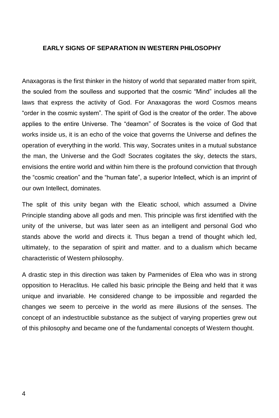#### **EARLY SIGNS OF SEPARATION IN WESTERN PHILOSOPHY**

Anaxagoras is the first thinker in the history of world that separated matter from spirit, the souled from the soulless and supported that the cosmic "Mind" includes all the laws that express the activity of God. For Anaxagoras the word Cosmos means "order in the cosmic system". The spirit of God is the creator of the order. The above applies to the entire Universe. The "deamon" of Socrates is the voice of God that works inside us, it is an echo of the voice that governs the Universe and defines the operation of everything in the world. This way, Socrates unites in a mutual substance the man, the Universe and the God! Socrates cogitates the sky, detects the stars, envisions the entire world and within him there is the profound conviction that through the "cosmic creation" and the "human fate", a superior Intellect, which is an imprint of our own Intellect, dominates.

The split of this unity began with the Eleatic school, which assumed a Divine Principle standing above all gods and men. This principle was first identified with the unity of the universe, but was later seen as an intelligent and personal God who stands above the world and directs it. Thus began a trend of thought which led, ultimately, to the separation of spirit and matter. and to a dualism which became characteristic of Western philosophy.

A drastic step in this direction was taken by Parmenides of Elea who was in strong opposition to Heraclitus. He called his basic principle the Being and held that it was unique and invariable. He considered change to be impossible and regarded the changes we seem to perceive in the world as mere illusions of the senses. The concept of an indestructible substance as the subject of varying properties grew out of this philosophy and became one of the fundamental concepts of Western thought.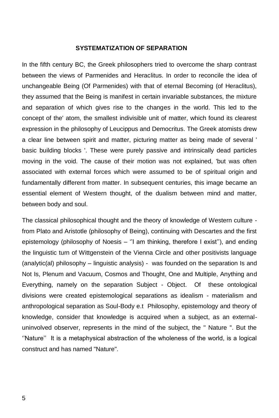#### **SYSTEMATIZATION OF SEPARATION**

In the fifth century BC, the Greek philosophers tried to overcome the sharp contrast between the views of Parmenides and Heraclitus. In order to reconcile the idea of unchangeable Being (Of Parmenides) with that of eternal Becoming (of Heraclitus), they assumed that the Being is manifest in certain invariable substances, the mixture and separation of which gives rise to the changes in the world. This led to the concept of the' atom, the smallest indivisible unit of matter, which found its clearest expression in the philosophy of Leucippus and Democritus. The Greek atomists drew a clear line between spirit and matter, picturing matter as being made of several ' basic building blocks '. These were purely passive and intrinsically dead particles moving in the void. The cause of their motion was not explained, 'but was often associated with external forces which were assumed to be of spiritual origin and fundamentally different from matter. In subsequent centuries, this image became an essential element of Western thought, of the dualism between mind and matter, between body and soul.

The classical philosophical thought and the theory of knowledge of Western culture from Plato and Aristotle (philosophy of Being), continuing with Descartes and the first epistemology (philosophy of Noesis – ''I am thinking, therefore I exist''), and ending the linguistic turn of Wittgenstein of the Vienna Circle and other positivists language (analytic(al) philosophy – linguistic analysis) - was founded on the separation Is and Not Is, Plenum and Vacuum, Cosmos and Thought, One and Multiple, Anything and Everything, namely on the separation Subject - Object. Of these ontological divisions were created epistemological separations as idealism - materialism and anthropological separation as Soul-Body e.t Philosophy, epistemology and theory of knowledge, consider that knowledge is acquired when a subject, as an externaluninvolved observer, represents in the mind of the subject, the '' Nature ''. But the ''Nature'' It is a metaphysical abstraction of the wholeness of the world, is a logical construct and has named "Nature".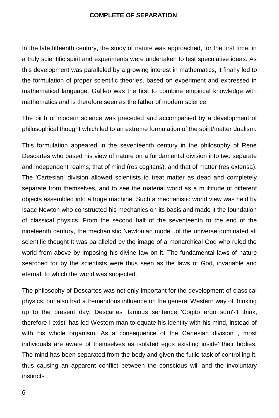#### **COMPLETE OF SEPARATION**

In the late fifteenth century, the study of nature was approached, for the first time, in a truly scientific spirit and experiments were undertaken to test speculative ideas. As this development was paralleled by a growing interest in mathematics, it finally led to the formulation of proper scientific theories, based on experiment and expressed in mathematical language. Galileo was the first to combine empirical knowledge with mathematics and is therefore seen as the father of modern science.

The birth of modern science was preceded and accompanied by a development of philosophical thought which led to an extreme formulation of the spirit/matter dualism.

This formulation appeared in the seventeenth century in the philosophy of René Descartes who based his view of nature on a fundamental division into two separate and independent realms; that of mind (res cogitans), and that of matter (res extensa). The 'Cartesian' division allowed scientists to treat matter as dead and completely separate from themselves, and to see the material world as a multitude of different objects assembled into a huge machine. Such a mechanistic world view was held by Isaac Newton who constructed his mechanics on its basis and made it the foundation of classical physics. From the second half of the seventeenth to the end of the nineteenth century, the mechanistic Newtonian model .of the universe dominated all scientific thought It was paralleled by the image of a monarchical God who ruled the world from above by imposing his divine law on it. The fundamental laws of nature searched for by the scientists were thus seen as the laws of God, invariable and eternal, to which the world was subjected.

The philosophy of Descartes was not only important for the development of classical physics, but also had a tremendous influence on the general Western way of thinking up to the present day. Descartes' famous sentence 'Cogito ergo sum'-'I think, therefore I exist'-has led Western man to equate his identity with his mind, instead of with his whole organism. As a consequence of the Cartesian division , most individuals are aware of themselves as isolated egos existing inside' their bodies. The mind has been separated from the body and given the futile task of controlling it, thus causing an apparent conflict between the conscious will and the involuntary instincts .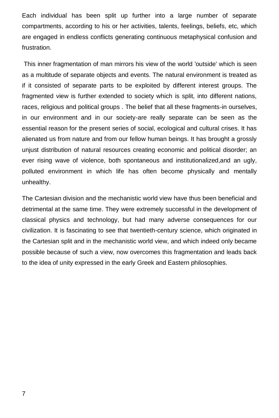Each individual has been split up further into a large number of separate compartments, according to his or her activities, talents, feelings, beliefs, etc, which are engaged in endless conflicts generating continuous metaphysical confusion and frustration.

This inner fragmentation of man mirrors his view of the world 'outside' which is seen as a multitude of separate objects and events. The natural environment is treated as if it consisted of separate parts to be exploited by different interest groups. The fragmented view is further extended to society which is split, into different nations, races, religious and political groups . The belief that all these fragments-in ourselves, in our environment and in our society-are really separate can be seen as the essential reason for the present series of social, ecological and cultural crises. It has alienated us from nature and from our fellow human beings. It has brought a grossly unjust distribution of natural resources creating economic and political disorder; an ever rising wave of violence, both spontaneous and institutionalized,and an ugly, polluted environment in which life has often become physically and mentally unhealthy.

The Cartesian division and the mechanistic world view have thus been beneficial and detrimental at the same time. They were extremely successful in the development of classical physics and technology, but had many adverse consequences for our civilization. It is fascinating to see that twentieth-century science, which originated in the Cartesian split and in the mechanistic world view, and which indeed only became possible because of such a view, now overcomes this fragmentation and leads back to the idea of unity expressed in the early Greek and Eastern philosophies.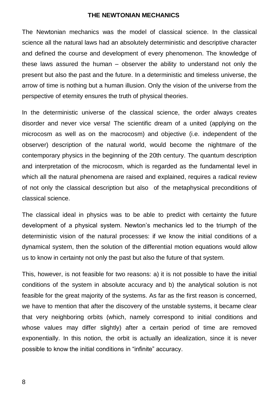#### **THE NEWTONIAN MECHANICS**

The Newtonian mechanics was the model of classical science. In the classical science all the natural laws had an absolutely deterministic and descriptive character and defined the course and development of every phenomenon. The knowledge of these laws assured the human – observer the ability to understand not only the present but also the past and the future. In a deterministic and timeless universe, the arrow of time is nothing but a human illusion. Only the vision of the universe from the perspective of eternity ensures the truth of physical theories.

In the deterministic universe of the classical science, the order always creates disorder and never vice versa! The scientific dream of a united (applying on the microcosm as well as on the macrocosm) and objective (i.e. independent of the observer) description of the natural world, would become the nightmare of the contemporary physics in the beginning of the 20th century. The quantum description and interpretation of the microcosm, which is regarded as the fundamental level in which all the natural phenomena are raised and explained, requires a radical review of not only the classical description but also of the metaphysical preconditions of classical science.

The classical ideal in physics was to be able to predict with certainty the future development of a physical system. Newton's mechanics led to the triumph of the deterministic vision of the natural processes: if we know the initial conditions of a dynamical system, then the solution of the differential motion equations would allow us to know in certainty not only the past but also the future of that system.

This, however, is not feasible for two reasons: a) it is not possible to have the initial conditions of the system in absolute accuracy and b) the analytical solution is not feasible for the great majority of the systems. As far as the first reason is concerned, we have to mention that after the discovery of the unstable systems, it became clear that very neighboring orbits (which, namely correspond to initial conditions and whose values may differ slightly) after a certain period of time are removed exponentially. In this notion, the orbit is actually an idealization, since it is never possible to know the initial conditions in "infinite" accuracy.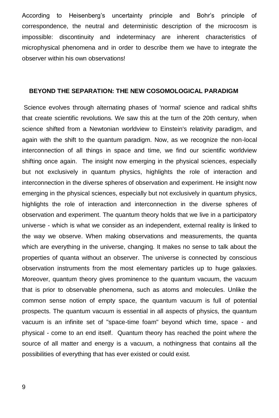According to Heisenberg's uncertainty principle and Bohr's principle of correspondence, the neutral and deterministic description of the microcosm is impossible: discontinuity and indeterminacy are inherent characteristics of microphysical phenomena and in order to describe them we have to integrate the observer within his own observations!

#### **BEYOND THE SEPARATION: THE NEW COSOMOLOGICAL PARADIGM**

Science evolves through alternating phases of 'normal' science and radical shifts that create scientific revolutions. We saw this at the turn of the 20th century, when science shifted from a Newtonian worldview to Einstein's relativity paradigm, and again with the shift to the quantum paradigm. Now, as we recognize the non-local interconnection of all things in space and time, we find our scientific worldview shifting once again. The insight now emerging in the physical sciences, especially but not exclusively in quantum physics, highlights the role of interaction and interconnection in the diverse spheres of observation and experiment. He insight now emerging in the physical sciences, especially but not exclusively in quantum physics, highlights the role of interaction and interconnection in the diverse spheres of observation and experiment. The quantum theory holds that we live in a participatory universe - which is what we consider as an independent, external reality is linked to the way we observe. When making observations and measurements, the quanta which are everything in the universe, changing. It makes no sense to talk about the properties of quanta without an observer. The universe is connected by conscious observation instruments from the most elementary particles up to huge galaxies. Moreover, quantum theory gives prominence to the quantum vacuum, the vacuum that is prior to observable phenomena, such as atoms and molecules. Unlike the common sense notion of empty space, the quantum vacuum is full of potential prospects. The quantum vacuum is essential in all aspects of physics, the quantum vacuum is an infinite set of "space-time foam" beyond which time, space - and physical - come to an end itself. Quantum theory has reached the point where the source of all matter and energy is a vacuum, a nothingness that contains all the possibilities of everything that has ever existed or could exist.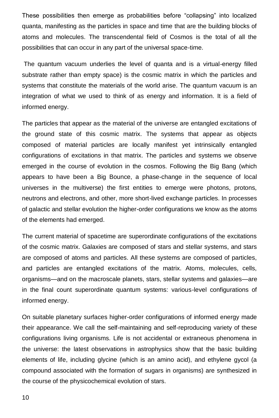These possibilities then emerge as probabilities before "collapsing" into localized quanta, manifesting as the particles in space and time that are the building blocks of atoms and molecules. The transcendental field of Cosmos is the total of all the possibilities that can occur in any part of the universal space-time.

The quantum vacuum underlies the level of quanta and is a virtual-energy filled substrate rather than empty space) is the cosmic matrix in which the particles and systems that constitute the materials of the world arise. The quantum vacuum is an integration of what we used to think of as energy and information. It is a field of informed energy.

The particles that appear as the material of the universe are entangled excitations of the ground state of this cosmic matrix. The systems that appear as objects composed of material particles are locally manifest yet intrinsically entangled configurations of excitations in that matrix. The particles and systems we observe emerged in the course of evolution in the cosmos. Following the Big Bang (which appears to have been a Big Bounce, a phase-change in the sequence of local universes in the multiverse) the first entities to emerge were photons, protons, neutrons and electrons, and other, more short-lived exchange particles. In processes of galactic and stellar evolution the higher-order configurations we know as the atoms of the elements had emerged.

The current material of spacetime are superordinate configurations of the excitations of the cosmic matrix. Galaxies are composed of stars and stellar systems, and stars are composed of atoms and particles. All these systems are composed of particles, and particles are entangled excitations of the matrix. Atoms, molecules, cells, organisms—and on the macroscale planets, stars, stellar systems and galaxies—are in the final count superordinate quantum systems: various-level configurations of informed energy.

On suitable planetary surfaces higher-order configurations of informed energy made their appearance. We call the self-maintaining and self-reproducing variety of these configurations living organisms. Life is not accidental or extraneous phenomena in the universe: the latest observations in astrophysics show that the basic building elements of life, including glycine (which is an amino acid), and ethylene gycol (a compound associated with the formation of sugars in organisms) are synthesized in the course of the physicochemical evolution of stars.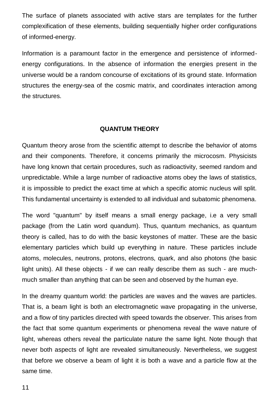The surface of planets associated with active stars are templates for the further complexification of these elements, building sequentially higher order configurations of informed-energy.

Information is a paramount factor in the emergence and persistence of informedenergy configurations. In the absence of information the energies present in the universe would be a random concourse of excitations of its ground state. Information structures the energy-sea of the cosmic matrix, and coordinates interaction among the structures.

#### **QUANTUM THEORY**

Quantum theory arose from the scientific attempt to describe the behavior of atoms and their components. Therefore, it concerns primarily the microcosm. Physicists have long known that certain procedures, such as radioactivity, seemed random and unpredictable. While a large number of radioactive atoms obey the laws of statistics, it is impossible to predict the exact time at which a specific atomic nucleus will split. This fundamental uncertainty is extended to all individual and subatomic phenomena.

The word "quantum" by itself means a small energy package, i.e a very small package (from the Latin word quandum). Thus, quantum mechanics, as quantum theory is called, has to do with the basic keystones of matter. These are the basic elementary particles which build up everything in nature. These particles include atoms, molecules, neutrons, protons, electrons, quark, and also photons (the basic light units). All these objects - if we can really describe them as such - are muchmuch smaller than anything that can be seen and observed by the human eye.

In the dreamy quantum world: the particles are waves and the waves are particles. That is, a beam light is both an electromagnetic wave propagating in the universe, and a flow of tiny particles directed with speed towards the observer. This arises from the fact that some quantum experiments or phenomena reveal the wave nature of light, whereas others reveal the particulate nature the same light. Note though that never both aspects of light are revealed simultaneously. Nevertheless, we suggest that before we observe a beam of light it is both a wave and a particle flow at the same time.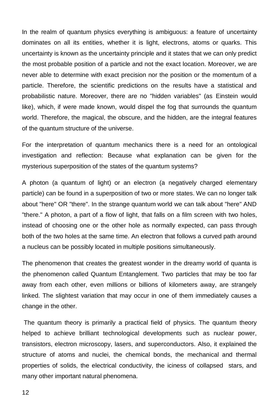In the realm of quantum physics everything is ambiguous: a feature of uncertainty dominates on all its entities, whether it is light, electrons, atoms or quarks. This uncertainty is known as the uncertainty principle and it states that we can only predict the most probable position of a particle and not the exact location. Moreover, we are never able to determine with exact precision nor the position or the momentum of a particle. Therefore, the scientific predictions on the results have a statistical and probabilistic nature. Moreover, there are no "hidden variables" (as Einstein would like), which, if were made known, would dispel the fog that surrounds the quantum world. Therefore, the magical, the obscure, and the hidden, are the integral features of the quantum structure of the universe.

For the interpretation of quantum mechanics there is a need for an ontological investigation and reflection: Because what explanation can be given for the mysterious superposition of the states of the quantum systems?

A photon (a quantum of light) or an electron (a negatively charged elementary particle) can be found in a superposition of two or more states. We can no longer talk about "here" OR "there". In the strange quantum world we can talk about "here" AND "there." A photon, a part of a flow of light, that falls on a film screen with two holes, instead of choosing one or the other hole as normally expected, can pass through both of the two holes at the same time. An electron that follows a curved path around a nucleus can be possibly located in multiple positions simultaneously.

The phenomenon that creates the greatest wonder in the dreamy world of quanta is the phenomenon called Quantum Entanglement. Two particles that may be too far away from each other, even millions or billions of kilometers away, are strangely linked. The slightest variation that may occur in one of them immediately causes a change in the other.

The quantum theory is primarily a practical field of physics. The quantum theory helped to achieve brilliant technological developments such as nuclear power, transistors, electron microscopy, lasers, and superconductors. Also, it explained the structure of atoms and nuclei, the chemical bonds, the mechanical and thermal properties of solids, the electrical conductivity, the iciness of collapsed stars, and many other important natural phenomena.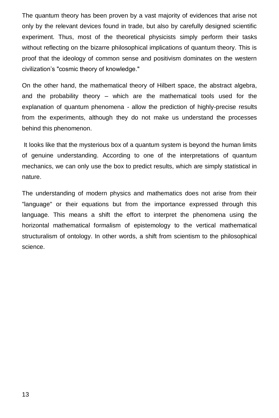The quantum theory has been proven by a vast majority of evidences that arise not only by the relevant devices found in trade, but also by carefully designed scientific experiment. Thus, most of the theoretical physicists simply perform their tasks without reflecting on the bizarre philosophical implications of quantum theory. This is proof that the ideology of common sense and positivism dominates on the western civilization's "cosmic theory of knowledge."

On the other hand, the mathematical theory of Hilbert space, the abstract algebra, and the probability theory – which are the mathematical tools used for the explanation of quantum phenomena - allow the prediction of highly-precise results from the experiments, although they do not make us understand the processes behind this phenomenon.

It looks like that the mysterious box of a quantum system is beyond the human limits of genuine understanding. According to one of the interpretations of quantum mechanics, we can only use the box to predict results, which are simply statistical in nature.

The understanding of modern physics and mathematics does not arise from their "language" or their equations but from the importance expressed through this language. This means a shift the effort to interpret the phenomena using the horizontal mathematical formalism of epistemology to the vertical mathematical structuralism of ontology. In other words, a shift from scientism to the philosophical science.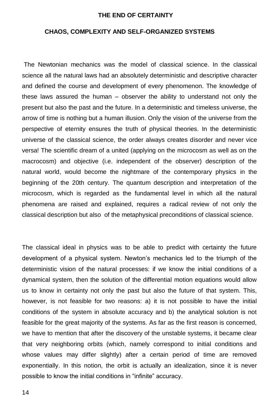#### **THE END OF CERTAINTY**

#### **CHAOS, COMPLEXITY AND SELF-ORGANIZED SYSTEMS**

The Newtonian mechanics was the model of classical science. In the classical science all the natural laws had an absolutely deterministic and descriptive character and defined the course and development of every phenomenon. The knowledge of these laws assured the human – observer the ability to understand not only the present but also the past and the future. In a deterministic and timeless universe, the arrow of time is nothing but a human illusion. Only the vision of the universe from the perspective of eternity ensures the truth of physical theories. In the deterministic universe of the classical science, the order always creates disorder and never vice versa! The scientific dream of a united (applying on the microcosm as well as on the macrocosm) and objective (i.e. independent of the observer) description of the natural world, would become the nightmare of the contemporary physics in the beginning of the 20th century. The quantum description and interpretation of the microcosm, which is regarded as the fundamental level in which all the natural phenomena are raised and explained, requires a radical review of not only the classical description but also of the metaphysical preconditions of classical science.

The classical ideal in physics was to be able to predict with certainty the future development of a physical system. Newton's mechanics led to the triumph of the deterministic vision of the natural processes: if we know the initial conditions of a dynamical system, then the solution of the differential motion equations would allow us to know in certainty not only the past but also the future of that system. This, however, is not feasible for two reasons: a) it is not possible to have the initial conditions of the system in absolute accuracy and b) the analytical solution is not feasible for the great majority of the systems. As far as the first reason is concerned, we have to mention that after the discovery of the unstable systems, it became clear that very neighboring orbits (which, namely correspond to initial conditions and whose values may differ slightly) after a certain period of time are removed exponentially. In this notion, the orbit is actually an idealization, since it is never possible to know the initial conditions in "infinite" accuracy.

14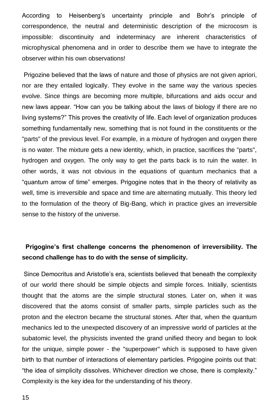According to Heisenberg's uncertainty principle and Bohr's principle of correspondence, the neutral and deterministic description of the microcosm is impossible: discontinuity and indeterminacy are inherent characteristics of microphysical phenomena and in order to describe them we have to integrate the observer within his own observations!

Ρrigozine believed that the laws of nature and those of physics are not given apriori, nor are they entailed logically. They evolve in the same way the various species evolve. Since things are becoming more multiple, bifurcations and aids occur and new laws appear. "How can you be talking about the laws of biology if there are no living systems?" This proves the creativity of life. Each level of organization produces something fundamentally new, something that is not found in the constituents or the "parts" of the previous level. For example, in a mixture of hydrogen and oxygen there is no water. The mixture gets a new identity, which, in practice, sacrifices the "parts", hydrogen and oxygen. The only way to get the parts back is to ruin the water. In other words, it was not obvious in the equations of quantum mechanics that a "quantum arrow of time" emerges. Prigogine notes that in the theory of relativity as well, time is irreversible and space and time are alternating mutually. This theory led to the formulation of the theory of Big-Bang, which in practice gives an irreversible sense to the history of the universe.

### **Prigogine's first challenge concerns the phenomenon of irreversibility. The second challenge has to do with the sense of simplicity.**

Since Democritus and Aristotle's era, scientists believed that beneath the complexity of our world there should be simple objects and simple forces. Initially, scientists thought that the atoms are the simple structural stones. Later on, when it was discovered that the atoms consist of smaller parts, simple particles such as the proton and the electron became the structural stones. After that, when the quantum mechanics led to the unexpected discovery of an impressive world of particles at the subatomic level, the physicists invented the grand unified theory and began to look for the unique, simple power - the "superpower" which is supposed to have given birth to that number of interactions of elementary particles. Prigοgine points out that: "the idea of simplicity dissolves. Whichever direction we chose, there is complexity." Complexity is the key idea for the understanding of his theory.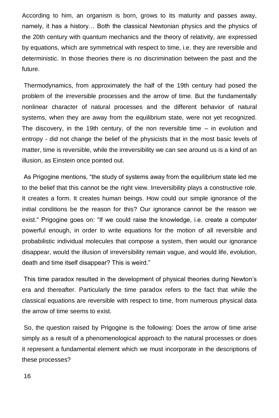According to him, an organism is born, grows to its maturity and passes away, namely, it has a history… Both the classical Newtonian physics and the physics of the 20th century with quantum mechanics and the theory of relativity, are expressed by equations, which are symmetrical with respect to time, i.e. they are reversible and deterministic. In those theories there is no discrimination between the past and the future.

Thermodynamics, from approximately the half of the 19th century had posed the problem of the irreversible processes and the arrow of time. But the fundamentally nonlinear character of natural processes and the different behavior of natural systems, when they are away from the equilibrium state, were not yet recognized. The discovery, in the 19th century, of the non reversible time – in evolution and entropy - did not change the belief of the physicists that in the most basic levels of matter, time is reversible, while the irreversibility we can see around us is a kind of an illusion, as Einstein once pointed out.

As Prigogine mentions, "the study of systems away from the equilibrium state led me to the belief that this cannot be the right view. Irreversibility plays a constructive role. It creates a form. It creates human beings. How could our simple ignorance of the initial conditions be the reason for this? Our ignorance cannot be the reason we exist." Prigogine goes on: "If we could raise the knowledge, i.e. create a computer powerful enough, in order to write equations for the motion of all reversible and probabilistic individual molecules that compose a system, then would our ignorance disappear, would the illusion of irreversibility remain vague, and would life, evolution, death and time itself disappear? This is weird."

This time paradox resulted in the development of physical theories during Newton's era and thereafter. Particularly the time paradox refers to the fact that while the classical equations are reversible with respect to time, from numerous physical data the arrow of time seems to exist.

So, the question raised by Prigogine is the following: Does the arrow of time arise simply as a result of a phenomenological approach to the natural processes or does it represent a fundamental element which we must incorporate in the descriptions of these processes?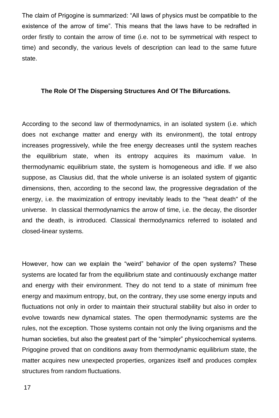The claim of Prigogine is summarized: "All laws of physics must be compatible to the existence of the arrow of time". This means that the laws have to be redrafted in order firstly to contain the arrow of time (i.e. not to be symmetrical with respect to time) and secondly, the various levels of description can lead to the same future state.

#### **The Role Of The Dispersing Structures And Of The Bifurcations.**

According to the second law of thermodynamics, in an isolated system (i.e. which does not exchange matter and energy with its environment), the total entropy increases progressively, while the free energy decreases until the system reaches the equilibrium state, when its entropy acquires its maximum value. In thermodynamic equilibrium state, the system is homogeneous and idle. If we also suppose, as Clausius did, that the whole universe is an isolated system of gigantic dimensions, then, according to the second law, the progressive degradation of the energy, i.e. the maximization of entropy inevitably leads to the "heat death" of the universe. In classical thermodynamics the arrow of time, i.e. the decay, the disorder and the death, is introduced. Classical thermodynamics referred to isolated and closed-linear systems.

However, how can we explain the "weird" behavior of the open systems? These systems are located far from the equilibrium state and continuously exchange matter and energy with their environment. They do not tend to a state of minimum free energy and maximum entropy, but, on the contrary, they use some energy inputs and fluctuations not only in order to maintain their structural stability but also in order to evolve towards new dynamical states. The open thermodynamic systems are the rules, not the exception. Those systems contain not only the living organisms and the human societies, but also the greatest part of the "simpler" physicochemical systems. Prigogine proved that on conditions away from thermodynamic equilibrium state, the matter acquires new unexpected properties, organizes itself and produces complex structures from random fluctuations.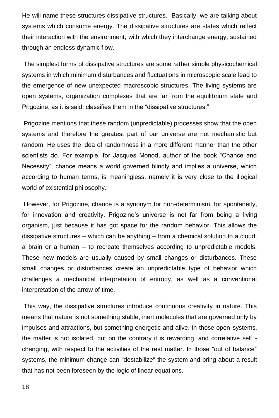He will name these structures dissipative structures. Basically, we are talking about systems which consume energy. The dissipative structures are states which reflect their interaction with the environment, with which they interchange energy, sustained through an endless dynamic flow.

The simplest forms of dissipative structures are some rather simple physicochemical systems in which minimum disturbances and fluctuations in microscopic scale lead to the emergence of new unexpected macroscopic structures. The living systems are open systems, organization complexes that are far from the equilibrium state and Prigozine, as it is said, classifies them in the "dissipative structures."

Prigozine mentions that these random (unpredictable) processes show that the open systems and therefore the greatest part of our universe are not mechanistic but random. He uses the idea of randomness in a more different manner than the other scientists do. For example, for Jacques Monod, author of the book "Chance and Necessity", chance means a world governed blindly and implies a universe, which according to human terms, is meaningless, namely it is very close to the illogical world of existential philosophy.

However, for Prigozine, chance is a synonym for non-determinism, for spontaneity, for innovation and creativity. Prigozine's universe is not far from being a living organism, just because it has got space for the random behavior. This allows the dissipative structures – which can be anything – from a chemical solution to a cloud, a brain or a human – to recreate themselves according to unpredictable models. These new models are usually caused by small changes or disturbances. These small changes or disturbances create an unpredictable type of behavior which challenges a mechanical interpretation of entropy, as well as a conventional interpretation of the arrow of time.

This way, the dissipative structures introduce continuous creativity in nature. This means that nature is not something stable, inert molecules that are governed only by impulses and attractions, but something energetic and alive. In those open systems, the matter is not isolated, but on the contrary it is rewarding, and correlative self changing, with respect to the activities of the rest matter. In those "out of balance" systems, the minimum change can "destabilize" the system and bring about a result that has not been foreseen by the logic of linear equations.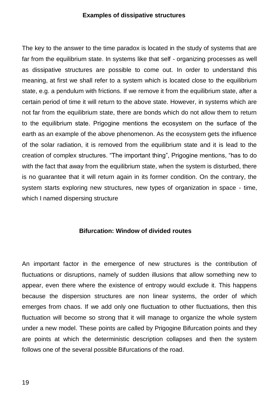#### **Examples of dissipative structures**

The key to the answer to the time paradox is located in the study of systems that are far from the equilibrium state. In systems like that self - organizing processes as well as dissipative structures are possible to come out. In order to understand this meaning, at first we shall refer to a system which is located close to the equilibrium state, e.g. a pendulum with frictions. If we remove it from the equilibrium state, after a certain period of time it will return to the above state. However, in systems which are not far from the equilibrium state, there are bonds which do not allow them to return to the equilibrium state. Prigοgine mentions the ecosystem on the surface of the earth as an example of the above phenomenon. As the ecosystem gets the influence of the solar radiation, it is removed from the equilibrium state and it is lead to the creation of complex structures. "The important thing", Prigοgine mentions, "has to do with the fact that away from the equilibrium state, when the system is disturbed, there is no guarantee that it will return again in its former condition. On the contrary, the system starts exploring new structures, new types of organization in space - time, which I named dispersing structure

#### **Bifurcation: Window of divided routes**

An important factor in the emergence of new structures is the contribution of fluctuations or disruptions, namely of sudden illusions that allow something new to appear, even there where the existence of entropy would exclude it. This happens because the dispersion structures are non linear systems, the order of which emerges from chaos. If we add only one fluctuation to other fluctuations, then this fluctuation will become so strong that it will manage to organize the whole system under a new model. These points are called by Prigogine Bifurcation points and they are points at which the deterministic description collapses and then the system follows one of the several possible Bifurcations of the road.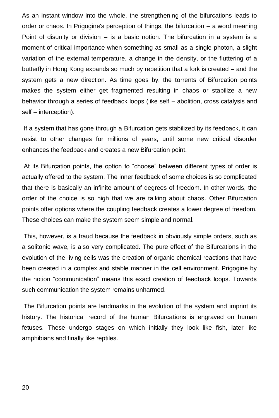As an instant window into the whole, the strengthening of the bifurcations leads to order or chaos. In Prigogine's perception of things, the bifurcation – a word meaning Point of disunity or division – is a basic notion. The bifurcation in a system is a moment of critical importance when something as small as a single photon, a slight variation of the external temperature, a change in the density, or the fluttering of a butterfly in Hong Kong expands so much by repetition that a fork is created – and the system gets a new direction. As time goes by, the torrents of Bifurcation points makes the system either get fragmented resulting in chaos or stabilize a new behavior through a series of feedback loops (like self – abolition, cross catalysis and self – interception).

If a system that has gone through a Bifurcation gets stabilized by its feedback, it can resist to other changes for millions of years, until some new critical disorder enhances the feedback and creates a new Bifurcation point.

At its Bifurcation points, the option to "choose" between different types of order is actually offered to the system. The inner feedback of some choices is so complicated that there is basically an infinite amount of degrees of freedom. In other words, the order of the choice is so high that we are talking about chaos. Other Bifurcation points offer options where the coupling feedback creates a lower degree of freedom. These choices can make the system seem simple and normal.

This, however, is a fraud because the feedback in obviously simple orders, such as a solitonic wave, is also very complicated. The pure effect of the Bifurcations in the evolution of the living cells was the creation of organic chemical reactions that have been created in a complex and stable manner in the cell environment. Prigogine by the notion "communication" means this exact creation of feedback loops. Towards such communication the system remains unharmed.

The Bifurcation points are landmarks in the evolution of the system and imprint its history. The historical record of the human Bifurcations is engraved on human fetuses. These undergo stages on which initially they look like fish, later like amphibians and finally like reptiles.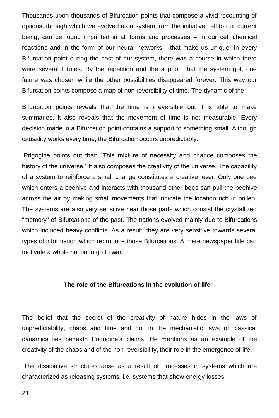Thousands upon thousands of Bifurcation points that compose a vivid recounting of options, through which we evolved as a system from the initiative cell to our current being, can be found imprinted in all forms and processes – in our cell chemical reactions and in the form of our neural networks - that make us unique. In every Bifurcation point during the past of our system, there was a course in which there were several futures. By the repetition and the support that the system got, one future was chosen while the other possibilities disappeared forever. This way our Bifurcation points compose a map of non reversibility of time. The dynamic of the

Bifurcation points reveals that the time is irreversible but it is able to make summaries. It also reveals that the movement of time is not measurable. Every decision made in a Bifurcation point contains a support to something small. Although causality works every time, the Bifurcation occurs unpredictably.

Prigogine points out that: "This mixture of necessity and chance composes the history of the universe." It also composes the creativity of the universe. The capability of a system to reinforce a small change constitutes a creative lever. Only one bee which enters a beehive and interacts with thousand other bees can pull the beehive across the air by making small movements that indicate the location rich in pollen. The systems are also very sensitive near those parts which consist the crystallized "memory" of Bifurcations of the past. The nations evolved mainly due to Bifurcations which included heavy conflicts. As a result, they are very sensitive towards several types of information which reproduce those Bifurcations. A mere newspaper title can motivate a whole nation to go to war.

#### **The role of the Bifurcations in the evolution of life.**

The belief that the secret of the creativity of nature hides in the laws of unpredictability, chaos and time and not in the mechanistic laws of classical dynamics lies beneath Prigogine's claims. He mentions as an example of the creativity of the chaos and of the non reversibility, their role in the emergence of life.

The dissipative structures arise as a result of processes in systems which are characterized as releasing systems, i.e. systems that show energy losses.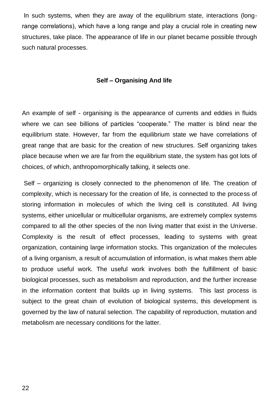In such systems, when they are away of the equilibrium state, interactions (longrange cοrrelatiοns), which have a long range and play a crucial role in creating new structures, take place. The appearance of life in our planet became possible through such natural processes.

#### **Self – Organising And life**

An example of self - organising is the appearance of currents and eddies in fluids where we can see billions of particles "cooperate." The matter is blind near the equilibrium state. However, far from the equilibrium state we have correlations of great range that are basic for the creation of new structures. Self organizing takes place because when we are far from the equilibrium state, the system has got lots of choices, of which, anthropomorphically talking, it selects one.

Self – organizing is closely connected to the phenomenon of life. The creation of complexity, which is necessary for the creation of life, is connected to the process of storing information in molecules of which the living cell is constituted. All living systems, either unicellular or multicellular organisms, are extremely complex systems compared to all the other species of the non living matter that exist in the Universe. Complexity is the result of effect processes, leading to systems with great organization, containing large information stocks. This organization of the molecules of a living organism, a result of accumulation of information, is what makes them able to produce useful work. The useful work involves both the fulfillment of basic biological processes, such as metabolism and reproduction, and the further increase in the information content that builds up in living systems. This last process is subject to the great chain of evolution of biological systems, this development is governed by the law of natural selection. The capability of reproduction, mutation and metabolism are necessary conditions for the latter.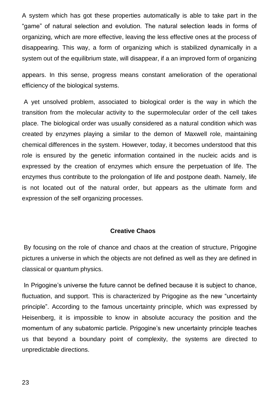A system which has got these properties automatically is able to take part in the "game" of natural selection and evolution. The natural selection leads in forms of organizing, which are more effective, leaving the less effective ones at the process of disappearing. This way, a form of organizing which is stabilized dynamically in a system out of the equilibrium state, will disappear, if a an improved form of organizing

appears. In this sense, progress means constant amelioration of the operational efficiency of the biological systems.

A yet unsolved problem, associated to biological order is the way in which the transition from the molecular activity to the supermolecular order of the cell takes place. The biological order was usually considered as a natural condition which was created by enzymes playing a similar to the demon of Maxwell role, maintaining chemical differences in the system. However, today, it becomes understood that this role is ensured by the genetic information contained in the nucleic acids and is expressed by the creation of enzymes which ensure the perpetuation of life. The enzymes thus contribute to the prolongation of life and postpone death. Namely, life is not located out of the natural order, but appears as the ultimate form and expression of the self organizing processes.

#### **Creative Chaos**

By focusing on the role of chance and chaos at the creation of structure, Prigogine pictures a universe in which the objects are not defined as well as they are defined in classical or quantum physics.

In Prigogine's universe the future cannot be defined because it is subject to chance, fluctuation, and support. This is characterized by Prigogine as the new "uncertainty principle". According to the famous uncertainty principle, which was expressed by Heisenberg, it is impossible to know in absolute accuracy the position and the momentum of any subatomic particle. Prigogine's new uncertainty principle teaches us that beyond a boundary point of complexity, the systems are directed to unpredictable directions.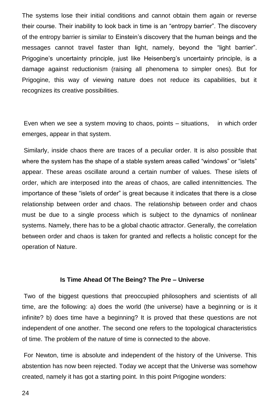The systems lose their initial conditions and cannot obtain them again or reverse their course. Their inability to look back in time is an "entropy barrier". The discovery of the entropy barrier is similar to Einstein's discovery that the human beings and the messages cannot travel faster than light, namely, beyond the "light barrier". Prigogine's uncertainty principle, just like Heisenberg's uncertainty principle, is a damage against reductionism (raising all phenomena to simpler ones). But for Prigogine, this way of viewing nature does not reduce its capabilities, but it recognizes its creative possibilities.

Even when we see a system moving to chaos, points – situations, in which order emerges, appear in that system.

Similarly, inside chaos there are traces of a peculiar order. It is also possible that where the system has the shape of a stable system areas called "windows" or "islets" appear. These areas oscillate around a certain number of values. These islets of order, which are interposed into the areas of chaos, are called intennittencies. The importance of these "islets of order" is great because it indicates that there is a close relationship between order and chaos. The relationship between order and chaos must be due to a single process which is subject to the dynamics of nonlinear systems. Namely, there has to be a global chaotic attractor. Generally, the correlation between order and chaos is taken for granted and reflects a holistic concept for the operation of Nature.

#### **Is Time Ahead Of The Being? The Pre – Universe**

Two of the biggest questions that preoccupied philosophers and scientists of all time, are the following: a) does the world (the universe) have a beginning or is it infinite? b) does time have a beginning? It is proved that these questions are not independent of one another. The second one refers to the topological characteristics of time. The problem of the nature of time is connected to the above.

For Newton, time is absolute and independent of the history of the Universe. This abstention has now been rejected. Today we accept that the Universe was somehow created, namely it has got a starting point. In this point Prigogine wonders: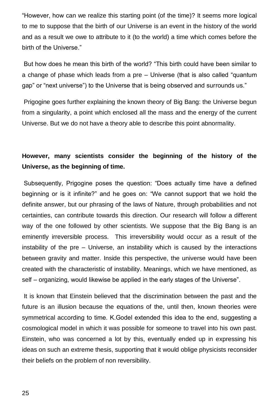"However, how can we realize this starting point (of the time)? It seems more logical to me to suppose that the birth of our Universe is an event in the history of the world and as a result we owe to attribute to it (to the world) a time which comes before the birth of the Universe."

But how does he mean this birth of the world? "This birth could have been similar to a change of phase which leads from a pre – Universe (that is also called "quantum gap" or "next universe") to the Universe that is being observed and surrounds us."

Prigogine goes further explaining the known theory of Big Bang: the Universe begun from a singularity, a point which enclosed all the mass and the energy of the current Universe. But we do not have a theory able to describe this point abnormality.

### **However, many scientists consider the beginning of the history of the Universe, as the beginning of time.**

Subsequently, Prigogine poses the question: "Does actually time have a defined beginning or is it infinite?" and he goes on: "We cannot support that we hold the definite answer, but our phrasing of the laws of Nature, through probabilities and not certainties, can contribute towards this direction. Our research will follow a different way of the one followed by other scientists. We suppose that the Big Bang is an eminently irreversible process. This irreversibility would occur as a result of the instability of the pre – Universe, an instability which is caused by the interactions between gravity and matter. Inside this perspective, the universe would have been created with the characteristic of instability. Meanings, which we have mentioned, as self – organizing, would likewise be applied in the early stages of the Universe".

It is known that Einstein believed that the discrimination between the past and the future is an illusion because the equations of the, until then, known theories were symmetrical according to time. Κ.Godel extended this idea to the end, suggesting a cosmological model in which it was possible for someone to travel into his own past. Einstein, who was concerned a lot by this, eventually ended up in expressing his ideas on such an extreme thesis, supporting that it would oblige physicists reconsider their beliefs on the problem of non reversibility.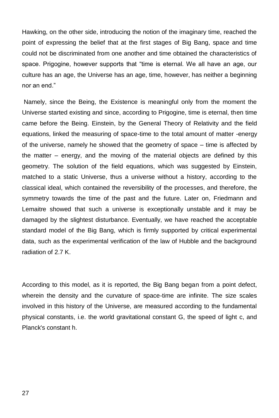Hawking, on the other side, introducing the notion of the imaginary time, reached the point of expressing the belief that at the first stages of Big Bang, space and time could not be discriminated from one another and time obtained the characteristics of space. Prigogine, however supports that "time is eternal. We all have an age, our culture has an age, the Universe has an age, time, however, has neither a beginning nor an end."

Namely, since the Being, the Existence is meaningful only from the moment the Universe started existing and since, according to Prigogine, time is eternal, then time came before the Being. Einstein, by the General Theory of Relativity and the field equations, linked the measuring of space-time to the total amount of matter -energy of the universe, namely he showed that the geometry of space – time is affected by the matter – energy, and the moving of the material objects are defined by this geometry. The solution of the field equations, which was suggested by Einstein, matched to a static Universe, thus a universe without a history, according to the classical ideal, which contained the reversibility of the processes, and therefore, the symmetry towards the time of the past and the future. Later on, Friedmann and Lemaitre showed that such a universe is exceptionally unstable and it may be damaged by the slightest disturbance. Eventually, we have reached the acceptable standard model of the Big Bang, which is firmly supported by critical experimental data, such as the experimental verification of the law of Hubble and the background radiation of 2.7 K.

According to this model, as it is reported, the Big Bang began from a point defect, wherein the density and the curvature of space-time are infinite. The size scales involved in this history of the Universe, are measured according to the fundamental physical constants, i.e. the world gravitational constant G, the speed of light c, and Planck's constant h.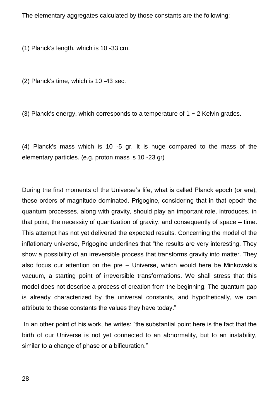The elementary aggregates calculated by those constants are the following:

(1) Planck's length, which is 10 -33 cm.

(2) Planck's time, which is 10 -43 sec.

(3) Planck's energy, which corresponds to a temperature of  $1 \sim 2$  Kelvin grades.

(4) Planck's mass which is 10 -5 gr. It is huge compared to the mass of the elementary particles. (e.g. proton mass is 10 -23 gr)

During the first moments of the Universe's life, what is called Planck epoch (or era), these orders of magnitude dominated. Ρrigοgine, considering that in that epoch the quantum processes, along with gravity, should play an important role, introduces, in that point, the necessity of quantization of gravity, and consequently of space – time. This attempt has not yet delivered the expected results. Concerning the model of the inflationary universe, Prigogine underlines that "the results are very interesting. They show a possibility of an irreversible process that transforms gravity into matter. They also focus our attention on the pre – Universe, which would here be Minkowski's vacuum, a starting point of irreversible transformations. We shall stress that this model does not describe a process of creation from the beginning. The quantum gap is already characterized by the universal constants, and hypothetically, we can attribute to these constants the values they have today."

In an other point of his work, he writes: "the substantial point here is the fact that the birth of our Universe is not yet connected to an abnormality, but to an instability, similar to a change of phase or a bificuration."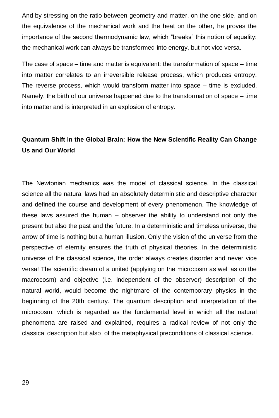And by stressing on the ratio between geometry and matter, on the one side, and on the equivalence of the mechanical work and the heat on the other, he proves the importance of the second thermodynamic law, which "breaks" this notion of equality: the mechanical work can always be transformed into energy, but not vice versa.

The case of space – time and matter is equivalent: the transformation of space – time into matter correlates to an irreversible release process, which produces entropy. The reverse process, which would transform matter into space – time is excluded. Namely, the birth of our universe happened due to the transformation of space – time into matter and is interpreted in an explosion of entropy.

### **Quantum Shift in the Global Brain: How the New Scientific Reality Can Change Us and Our World**

The Newtonian mechanics was the model of classical science. In the classical science all the natural laws had an absolutely deterministic and descriptive character and defined the course and development of every phenomenon. The knowledge of these laws assured the human – observer the ability to understand not only the present but also the past and the future. In a deterministic and timeless universe, the arrow of time is nothing but a human illusion. Only the vision of the universe from the perspective of eternity ensures the truth of physical theories. In the deterministic universe of the classical science, the order always creates disorder and never vice versa! The scientific dream of a united (applying on the microcosm as well as on the macrocosm) and objective (i.e. independent of the observer) description of the natural world, would become the nightmare of the contemporary physics in the beginning of the 20th century. The quantum description and interpretation of the microcosm, which is regarded as the fundamental level in which all the natural phenomena are raised and explained, requires a radical review of not only the classical description but also of the metaphysical preconditions of classical science.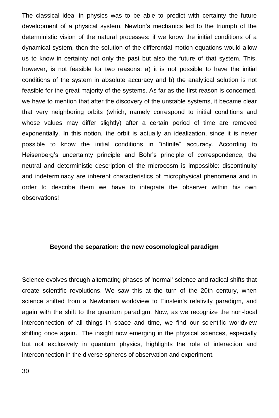The classical ideal in physics was to be able to predict with certainty the future development of a physical system. Newton's mechanics led to the triumph of the deterministic vision of the natural processes: if we know the initial conditions of a dynamical system, then the solution of the differential motion equations would allow us to know in certainty not only the past but also the future of that system. This, however, is not feasible for two reasons: a) it is not possible to have the initial conditions of the system in absolute accuracy and b) the analytical solution is not feasible for the great majority of the systems. As far as the first reason is concerned, we have to mention that after the discovery of the unstable systems, it became clear that very neighboring orbits (which, namely correspond to initial conditions and whose values may differ slightly) after a certain period of time are removed exponentially. In this notion, the orbit is actually an idealization, since it is never possible to know the initial conditions in "infinite" accuracy. According to Heisenberg's uncertainty principle and Bohr's principle of correspondence, the neutral and deterministic description of the microcosm is impossible: discontinuity and indeterminacy are inherent characteristics of microphysical phenomena and in order to describe them we have to integrate the observer within his own observations!

#### **Beyond the separation: the new cosomological paradigm**

Science evolves through alternating phases of 'normal' science and radical shifts that create scientific revolutions. We saw this at the turn of the 20th century, when science shifted from a Newtonian worldview to Einstein's relativity paradigm, and again with the shift to the quantum paradigm. Now, as we recognize the non-local interconnection of all things in space and time, we find our scientific worldview shifting once again. The insight now emerging in the physical sciences, especially but not exclusively in quantum physics, highlights the role of interaction and interconnection in the diverse spheres of observation and experiment.

30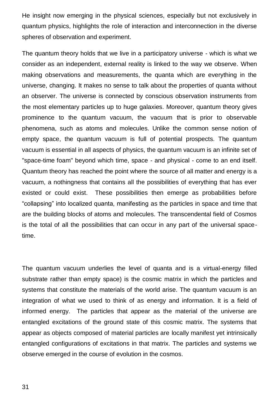He insight now emerging in the physical sciences, especially but not exclusively in quantum physics, highlights the role of interaction and interconnection in the diverse spheres of observation and experiment.

The quantum theory holds that we live in a participatory universe - which is what we consider as an independent, external reality is linked to the way we observe. When making observations and measurements, the quanta which are everything in the universe, changing. It makes no sense to talk about the properties of quanta without an observer. The universe is connected by conscious observation instruments from the most elementary particles up to huge galaxies. Moreover, quantum theory gives prominence to the quantum vacuum, the vacuum that is prior to observable phenomena, such as atoms and molecules. Unlike the common sense notion of empty space, the quantum vacuum is full of potential prospects. The quantum vacuum is essential in all aspects of physics, the quantum vacuum is an infinite set of "space-time foam" beyond which time, space - and physical - come to an end itself. Quantum theory has reached the point where the source of all matter and energy is a vacuum, a nothingness that contains all the possibilities of everything that has ever existed or could exist. These possibilities then emerge as probabilities before "collapsing" into localized quanta, manifesting as the particles in space and time that are the building blocks of atoms and molecules. The transcendental field of Cosmos is the total of all the possibilities that can occur in any part of the universal spacetime.

The quantum vacuum underlies the level of quanta and is a virtual-energy filled substrate rather than empty space) is the cosmic matrix in which the particles and systems that constitute the materials of the world arise. The quantum vacuum is an integration of what we used to think of as energy and information. It is a field of informed energy. The particles that appear as the material of the universe are entangled excitations of the ground state of this cosmic matrix. The systems that appear as objects composed of material particles are locally manifest yet intrinsically entangled configurations of excitations in that matrix. The particles and systems we observe emerged in the course of evolution in the cosmos.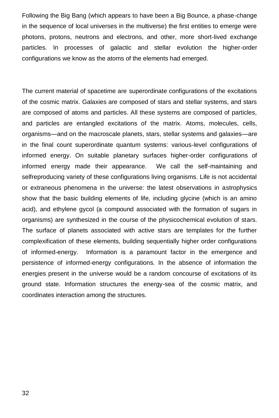Following the Big Bang (which appears to have been a Big Bounce, a phase-change in the sequence of local universes in the multiverse) the first entities to emerge were photons, protons, neutrons and electrons, and other, more short-lived exchange particles. In processes of galactic and stellar evolution the higher-order configurations we know as the atoms of the elements had emerged.

The current material of spacetime are superordinate configurations of the excitations of the cosmic matrix. Galaxies are composed of stars and stellar systems, and stars are composed of atoms and particles. All these systems are composed of particles, and particles are entangled excitations of the matrix. Atoms, molecules, cells, organisms—and on the macroscale planets, stars, stellar systems and galaxies—are in the final count superordinate quantum systems: various-level configurations of informed energy. On suitable planetary surfaces higher-order configurations of informed energy made their appearance. We call the self-maintaining and selfreproducing variety of these configurations living organisms. Life is not accidental or extraneous phenomena in the universe: the latest observations in astrophysics show that the basic building elements of life, including glycine (which is an amino acid), and ethylene gycol (a compound associated with the formation of sugars in organisms) are synthesized in the course of the physicochemical evolution of stars. The surface of planets associated with active stars are templates for the further complexification of these elements, building sequentially higher order configurations of informed-energy. Information is a paramount factor in the emergence and persistence of informed-energy configurations. In the absence of information the energies present in the universe would be a random concourse of excitations of its ground state. Information structures the energy-sea of the cosmic matrix, and coordinates interaction among the structures.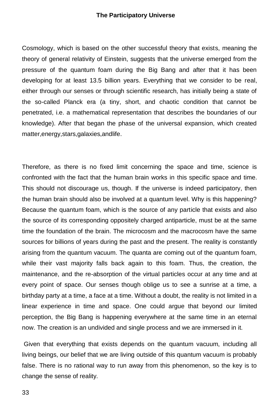#### **The Participatory Universe**

Cosmology, which is based on the other successful theory that exists, meaning the theory of general relativity of Einstein, suggests that the universe emerged from the pressure of the quantum foam during the Big Bang and after that it has been developing for at least 13.5 billion years. Everything that we consider to be real, either through our senses or through scientific research, has initially being a state of the so-called Planck era (a tiny, short, and chaotic condition that cannot be penetrated, i.e. a mathematical representation that describes the boundaries of our knowledge). After that began the phase of the universal expansion, which created matter,energy,stars,galaxies,andlife.

Therefore, as there is no fixed limit concerning the space and time, science is confronted with the fact that the human brain works in this specific space and time. This should not discourage us, though. If the universe is indeed participatory, then the human brain should also be involved at a quantum level. Why is this happening? Because the quantum foam, which is the source of any particle that exists and also the source of its corresponding oppositely charged antiparticle, must be at the same time the foundation of the brain. The microcosm and the macrocosm have the same sources for billions of years during the past and the present. The reality is constantly arising from the quantum vacuum. The quanta are coming out of the quantum foam, while their vast majority falls back again to this foam. Thus, the creation, the maintenance, and the re-absorption of the virtual particles occur at any time and at every point of space. Our senses though oblige us to see a sunrise at a time, a birthday party at a time, a face at a time. Without a doubt, the reality is not limited in a linear experience in time and space. One could argue that beyond our limited perception, the Big Bang is happening everywhere at the same time in an eternal now. The creation is an undivided and single process and we are immersed in it.

Given that everything that exists depends on the quantum vacuum, including all living beings, our belief that we are living outside of this quantum vacuum is probably false. There is no rational way to run away from this phenomenon, so the key is to change the sense of reality.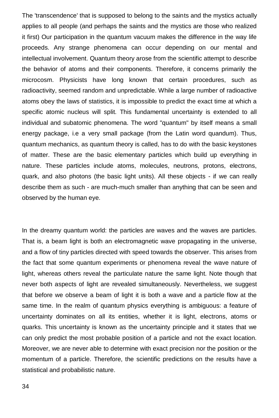The 'transcendence' that is supposed to belong to the saints and the mystics actually applies to all people (and perhaps the saints and the mystics are those who realized it first) Our participation in the quantum vacuum makes the difference in the way life proceeds. Any strange phenomena can occur depending on our mental and intellectual involvement. Quantum theory arose from the scientific attempt to describe the behavior of atoms and their components. Therefore, it concerns primarily the microcosm. Physicists have long known that certain procedures, such as radioactivity, seemed random and unpredictable. While a large number of radioactive atoms obey the laws of statistics, it is impossible to predict the exact time at which a specific atomic nucleus will split. This fundamental uncertainty is extended to all individual and subatomic phenomena. The word "quantum" by itself means a small energy package, i.e a very small package (from the Latin word quandum). Thus, quantum mechanics, as quantum theory is called, has to do with the basic keystones of matter. These are the basic elementary particles which build up everything in nature. These particles include atoms, molecules, neutrons, protons, electrons, quark, and also photons (the basic light units). All these objects - if we can really describe them as such - are much-much smaller than anything that can be seen and observed by the human eye.

In the dreamy quantum world: the particles are waves and the waves are particles. That is, a beam light is both an electromagnetic wave propagating in the universe, and a flow of tiny particles directed with speed towards the observer. This arises from the fact that some quantum experiments or phenomena reveal the wave nature of light, whereas others reveal the particulate nature the same light. Note though that never both aspects of light are revealed simultaneously. Nevertheless, we suggest that before we observe a beam of light it is both a wave and a particle flow at the same time. In the realm of quantum physics everything is ambiguous: a feature of uncertainty dominates on all its entities, whether it is light, electrons, atoms or quarks. This uncertainty is known as the uncertainty principle and it states that we can only predict the most probable position of a particle and not the exact location. Moreover, we are never able to determine with exact precision nor the position or the momentum of a particle. Therefore, the scientific predictions on the results have a statistical and probabilistic nature.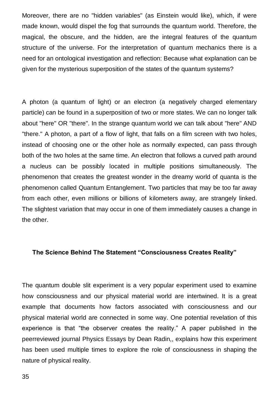Moreover, there are no "hidden variables" (as Einstein would like), which, if were made known, would dispel the fog that surrounds the quantum world. Therefore, the magical, the obscure, and the hidden, are the integral features of the quantum structure of the universe. For the interpretation of quantum mechanics there is a need for an ontological investigation and reflection: Because what explanation can be given for the mysterious superposition of the states of the quantum systems?

A photon (a quantum of light) or an electron (a negatively charged elementary particle) can be found in a superposition of two or more states. We can no longer talk about "here" OR "there". In the strange quantum world we can talk about "here" AND "there." A photon, a part of a flow of light, that falls on a film screen with two holes, instead of choosing one or the other hole as normally expected, can pass through both of the two holes at the same time. An electron that follows a curved path around a nucleus can be possibly located in multiple positions simultaneously. The phenomenon that creates the greatest wonder in the dreamy world of quanta is the phenomenon called Quantum Entanglement. Two particles that may be too far away from each other, even millions or billions of kilometers away, are strangely linked. The slightest variation that may occur in one of them immediately causes a change in the other.

#### **The Science Behind The Statement "Consciousness Creates Reality"**

The quantum double slit experiment is a very popular experiment used to examine how consciousness and our physical material world are intertwined. It is a great example that documents how factors associated with consciousness and our physical material world are connected in some way. One potential revelation of this experience is that "the observer creates the reality." A paper published in the peerreviewed journal Physics Essays by Dean Radin,, explains how this experiment has been used multiple times to explore the role of consciousness in shaping the nature of physical reality.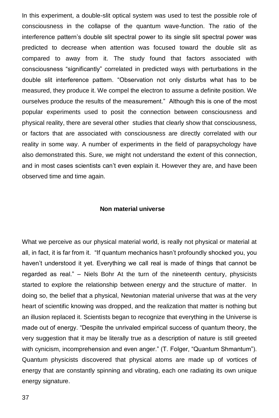In this experiment, a double-slit optical system was used to test the possible role of consciousness in the collapse of the quantum wave-function. The ratio of the interference pattern's double slit spectral power to its single slit spectral power was predicted to decrease when attention was focused toward the double slit as compared to away from it. The study found that factors associated with consciousness "significantly" correlated in predicted ways with perturbations in the double slit interference pattern. "Observation not only disturbs what has to be measured, they produce it. We compel the electron to assume a definite position. We ourselves produce the results of the measurement." Although this is one of the most popular experiments used to posit the connection between consciousness and physical reality, there are several other studies that clearly show that consciousness, or factors that are associated with consciousness are directly correlated with our reality in some way. A number of experiments in the field of parapsychology have also demonstrated this. Sure, we might not understand the extent of this connection, and in most cases scientists can't even explain it. However they are, and have been observed time and time again.

#### **Non material universe**

What we perceive as our physical material world, is really not physical or material at all, in fact, it is far from it. "If quantum mechanics hasn't profoundly shocked you, you haven't understood it yet. Everything we call real is made of things that cannot be regarded as real." – Niels Bohr At the turn of the nineteenth century, physicists started to explore the relationship between energy and the structure of matter. In doing so, the belief that a physical, Newtonian material universe that was at the very heart of scientific knowing was dropped, and the realization that matter is nothing but an illusion replaced it. Scientists began to recognize that everything in the Universe is made out of energy. "Despite the unrivaled empirical success of quantum theory, the very suggestion that it may be literally true as a description of nature is still greeted with cynicism, incomprehension and even anger." (T. Folger, "Quantum Shmantum"). Quantum physicists discovered that physical atoms are made up of vortices of energy that are constantly spinning and vibrating, each one radiating its own unique energy signature.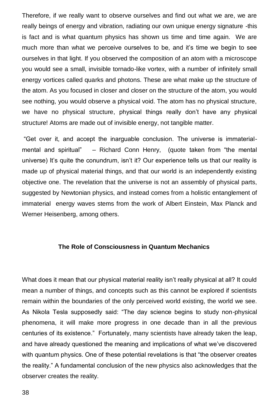Therefore, if we really want to observe ourselves and find out what we are, we are really beings of energy and vibration, radiating our own unique energy signature -this is fact and is what quantum physics has shown us time and time again. We are much more than what we perceive ourselves to be, and it's time we begin to see ourselves in that light. If you observed the composition of an atom with a microscope you would see a small, invisible tornado-like vortex, with a number of infinitely small energy vortices called quarks and photons. These are what make up the structure of the atom. As you focused in closer and closer on the structure of the atom, you would see nothing, you would observe a physical void. The atom has no physical structure, we have no physical structure, physical things really don't have any physical structure! Atoms are made out of invisible energy, not tangible matter.

"Get over it, and accept the inarguable conclusion. The universe is immaterialmental and spiritual" – Richard Conn Henry, (quote taken from "the mental universe) It's quite the conundrum, isn't it? Our experience tells us that our reality is made up of physical material things, and that our world is an independently existing objective one. The revelation that the universe is not an assembly of physical parts, suggested by Newtonian physics, and instead comes from a holistic entanglement of immaterial energy waves stems from the work of Albert Einstein, Max Planck and Werner Heisenberg, among others.

#### **The Role of Consciousness in Quantum Mechanics**

What does it mean that our physical material reality isn't really physical at all? It could mean a number of things, and concepts such as this cannot be explored if scientists remain within the boundaries of the only perceived world existing, the world we see. As Nikola Tesla supposedly said: "The day science begins to study non-physical phenomena, it will make more progress in one decade than in all the previous centuries of its existence." Fortunately, many scientists have already taken the leap, and have already questioned the meaning and implications of what we've discovered with quantum physics. One of these potential revelations is that "the observer creates the reality." A fundamental conclusion of the new physics also acknowledges that the observer creates the reality.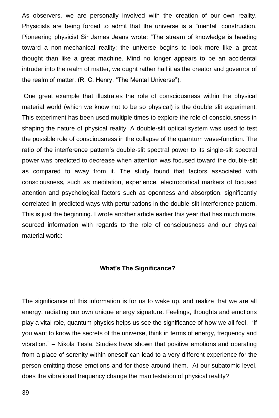As observers, we are personally involved with the creation of our own reality. Physicists are being forced to admit that the universe is a "mental" construction. Pioneering physicist Sir James Jeans wrote: "The stream of knowledge is heading toward a non-mechanical reality; the universe begins to look more like a great thought than like a great machine. Mind no longer appears to be an accidental intruder into the realm of matter, we ought rather hail it as the creator and governor of the realm of matter. (R. C. Henry, "The Mental Universe").

One great example that illustrates the role of consciousness within the physical material world (which we know not to be so physical) is the double slit experiment. This experiment has been used multiple times to explore the role of consciousness in shaping the nature of physical reality. A double-slit optical system was used to test the possible role of consciousness in the collapse of the quantum wave-function. The ratio of the interference pattern's double-slit spectral power to its single-slit spectral power was predicted to decrease when attention was focused toward the double-slit as compared to away from it. The study found that factors associated with consciousness, such as meditation, experience, electrocortical markers of focused attention and psychological factors such as openness and absorption, significantly correlated in predicted ways with perturbations in the double-slit interference pattern. This is just the beginning. I wrote another article earlier this year that has much more, sourced information with regards to the role of consciousness and our physical material world:

#### **What's The Significance?**

The significance of this information is for us to wake up, and realize that we are all energy, radiating our own unique energy signature. Feelings, thoughts and emotions play a vital role, quantum physics helps us see the significance of how we all feel. "If you want to know the secrets of the universe, think in terms of energy, frequency and vibration." – Nikola Tesla. Studies have shown that positive emotions and operating from a place of serenity within oneself can lead to a very different experience for the person emitting those emotions and for those around them. At our subatomic level, does the vibrational frequency change the manifestation of physical reality?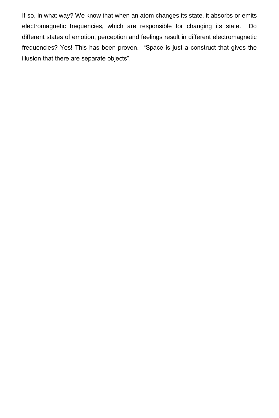If so, in what way? We know that when an atom changes its state, it absorbs or emits electromagnetic frequencies, which are responsible for changing its state. Do different states of emotion, perception and feelings result in different electromagnetic frequencies? Yes! This has been proven. "Space is just a construct that gives the illusion that there are separate objects".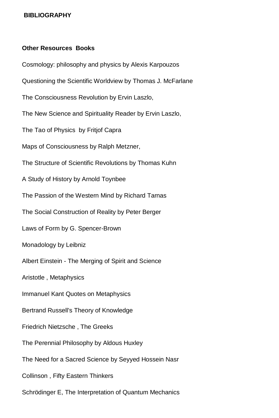#### **BIBLIOGRAPHY**

#### **Other Resources Books**

Cosmology: philosophy and physics by Alexis Karpouzos Questioning the Scientific Worldview by Thomas J. McFarlane The Consciousness Revolution by Ervin Laszlo, The New Science and Spirituality Reader by Ervin Laszlo, The Tao of Physics by Fritjof Capra Maps of Consciousness by Ralph Metzner, The Structure of Scientific Revolutions by Thomas Kuhn A Study of History by Arnold Toynbee The Passion of the Western Mind by Richard Tarnas The Social Construction of Reality by Peter Berger Laws of Form by G. Spencer-Brown Monadology by Leibniz Albert Einstein - The Merging of Spirit and Science Aristotle , Metaphysics Immanuel Kant Quotes on Metaphysics Bertrand Russell's Theory of Knowledge Friedrich Nietzsche , The Greeks The Perennial Philosophy by Aldous Huxley The Need for a Sacred Science by Seyyed Hossein Nasr Collinson , Fifty Eastern Thinkers Schrödinger E, The Interpretation of Quantum Mechanics